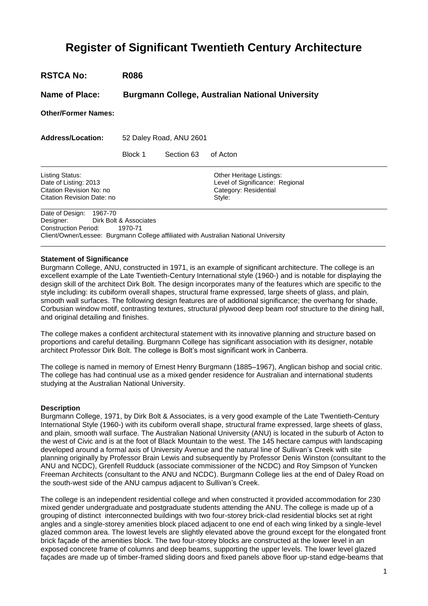# **Register of Significant Twentieth Century Architecture**

**RSTCA No: R086**

**Name of Place: Burgmann College, Australian National University**

**Other/Former Names:**

**Address/Location:** 52 Daley Road, ANU 2601

Block 1 Section 63 of Acton

Listing Status: <br>
Date of Listing: 2013 **Date of Listings: 2013** Christian Level of Significance: R Citation Revision No: no Citation Revision Date: no Style:

 $\overline{a}$ 

 $\overline{a}$ 

Level of Significance: Regional<br>Category: Residential

Date of Design: 1967-70 Designer: Dirk Bolt & Associates Construction Period: 1970-71 Client/Owner/Lessee: Burgmann College affiliated with Australian National University  $\_$  ,  $\_$  ,  $\_$  ,  $\_$  ,  $\_$  ,  $\_$  ,  $\_$  ,  $\_$  ,  $\_$  ,  $\_$  ,  $\_$  ,  $\_$  ,  $\_$  ,  $\_$  ,  $\_$  ,  $\_$  ,  $\_$  ,  $\_$  ,  $\_$  ,  $\_$  ,  $\_$  ,  $\_$  ,  $\_$  ,  $\_$  ,  $\_$  ,  $\_$  ,  $\_$  ,  $\_$  ,  $\_$  ,  $\_$  ,  $\_$  ,  $\_$  ,  $\_$  ,  $\_$  ,  $\_$  ,  $\_$  ,  $\_$  ,

# **Statement of Significance**

Burgmann College, ANU, constructed in 1971, is an example of significant architecture. The college is an excellent example of the Late Twentieth-Century International style (1960-) and is notable for displaying the design skill of the architect Dirk Bolt. The design incorporates many of the features which are specific to the style including: its cubiform overall shapes, structural frame expressed, large sheets of glass, and plain, smooth wall surfaces. The following design features are of additional significance; the overhang for shade, Corbusian window motif, contrasting textures, structural plywood deep beam roof structure to the dining hall, and original detailing and finishes.

The college makes a confident architectural statement with its innovative planning and structure based on proportions and careful detailing. Burgmann College has significant association with its designer, notable architect Professor Dirk Bolt. The college is Bolt's most significant work in Canberra.

The college is named in memory of Ernest Henry Burgmann (1885–1967), Anglican bishop and social critic. The college has had continual use as a mixed gender residence for Australian and international students studying at the Australian National University.

#### **Description**

Burgmann College, 1971, by Dirk Bolt & Associates, is a very good example of the Late Twentieth-Century International Style (1960-) with its cubiform overall shape, structural frame expressed, large sheets of glass, and plain, smooth wall surface. The Australian National University (ANU) is located in the suburb of Acton to the west of Civic and is at the foot of Black Mountain to the west. The 145 hectare campus with landscaping developed around a formal axis of University Avenue and the natural line of Sullivan's Creek with site planning originally by Professor Brain Lewis and subsequently by Professor Denis Winston (consultant to the ANU and NCDC), Grenfell Rudduck (associate commissioner of the NCDC) and Roy Simpson of Yuncken Freeman Architects (consultant to the ANU and NCDC). Burgmann College lies at the end of Daley Road on the south-west side of the ANU campus adjacent to Sullivan's Creek.

The college is an independent residential college and when constructed it provided accommodation for 230 mixed gender undergraduate and postgraduate students attending the ANU. The college is made up of a grouping of distinct interconnected buildings with two four-storey brick-clad residential blocks set at right angles and a single-storey amenities block placed adjacent to one end of each wing linked by a single-level glazed common area. The lowest levels are slightly elevated above the ground except for the elongated front brick façade of the amenities block. The two four-storey blocks are constructed at the lower level in an exposed concrete frame of columns and deep beams, supporting the upper levels. The lower level glazed façades are made up of timber-framed sliding doors and fixed panels above floor up-stand edge-beams that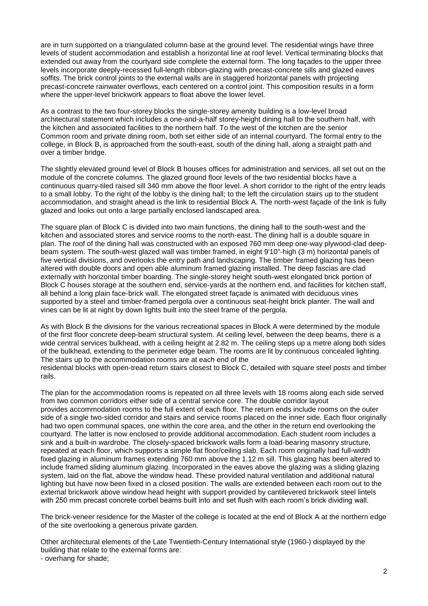are in turn supported on a triangulated column base at the ground level. The residential wings have three levels of student accommodation and establish a horizontal line at roof level. Vertical terminating blocks that extended out away from the courtyard side complete the external form. The long façades to the upper three levels incorporate deeply-recessed full-length ribbon-glazing with precast-concrete sills and glazed eaves soffits. The brick control joints to the external walls are in staggered horizontal panels with projecting precast-concrete rainwater overflows, each centered on a control joint. This composition results in a form where the upper-level brickwork appears to float above the lower level.

As a contrast to the two four-storey blocks the single-storey amenity building is a low-level broad architectural statement which includes a one-and-a-half storey-height dining hall to the southern half, with the kitchen and associated facilities to the northern half. To the west of the kitchen are the senior Common room and private dining room, both set either side of an internal courtyard. The formal entry to the college, in Block B, is approached from the south-east, south of the dining hall, along a straight path and over a timber bridge.

The slightly elevated ground level of Block B houses offices for administration and services, all set out on the module of the concrete columns. The glazed ground floor levels of the two residential blocks have a continuous quarry-tiled raised sill 340 mm above the floor level. A short corridor to the right of the entry leads to a small lobby. To the right of the lobby is the dining hall; to the left the circulation stairs up to the student accommodation, and straight ahead is the link to residential Block A. The north-west façade of the link is fully glazed and looks out onto a large partially enclosed landscaped area.

The square plan of Block C is divided into two main functions, the dining hall to the south-west and the kitchen and associated stores and service rooms to the north-east. The dining hall is a double square in plan. The roof of the dining hall was constructed with an exposed 760 mm deep one-way plywood-clad deepbeam system. The south-west glazed wall was timber framed, in eight 9'10"-high (3 m) horizontal panels of five vertical divisions, and overlooks the entry path and landscaping. The timber framed glazing has been altered with double doors and open able aluminum framed glazing installed. The deep fascias are clad externally with horizontal timber boarding. The single-storey height south-west elongated brick portion of Block C houses storage at the southern end, service-yards at the northern end, and facilities for kitchen staff, all behind a long plain face-brick wall. The elongated street façade is animated with deciduous vines supported by a steel and timber-framed pergola over a continuous seat-height brick planter. The wall and vines can be lit at night by down lights built into the steel frame of the pergola.

As with Block B the divisions for the various recreational spaces in Block A were determined by the module of the first floor concrete deep-beam structural system. At ceiling level, between the deep beams, there is a wide central services bulkhead, with a ceiling height at 2.82 m. The ceiling steps up a metre along both sides of the bulkhead, extending to the perimeter edge beam. The rooms are lit by continuous concealed lighting. The stairs up to the accommodation rooms are at each end of the

residential blocks with open-tread return stairs closest to Block C, detailed with square steel posts and timber rails.

The plan for the accommodation rooms is repeated on all three levels with 18 rooms along each side served from two common corridors either side of a central service core. The double corridor layout provides accommodation rooms to the full extent of each floor. The return ends include rooms on the outer side of a single two-sided corridor and stairs and service rooms placed on the inner side. Each floor originally had two open communal spaces, one within the core area, and the other in the return end overlooking the courtyard. The latter is now enclosed to provide additional accommodation. Each student room includes a sink and a built-in wardrobe. The closely-spaced brickwork walls form a load-bearing masonry structure, repeated at each floor, which supports a simple flat floor/ceiling slab. Each room originally had full-width fixed glazing in aluminum frames extending 760 mm above the 1.12 m sill. This glazing has been altered to include framed sliding aluminum glazing. Incorporated in the eaves above the glazing was a sliding glazing system, laid on the flat, above the window head. These provided natural ventilation and additional natural lighting but have now been fixed in a closed position. The walls are extended between each room out to the external brickwork above window head height with support provided by cantilevered brickwork steel lintels with 250 mm precast concrete corbel beams built into and set flush with each room's brick dividing wall.

The brick-veneer residence for the Master of the college is located at the end of Block A at the northern edge of the site overlooking a generous private garden.

Other architectural elements of the Late Twentieth-Century International style (1960-) displayed by the building that relate to the external forms are:

- overhang for shade;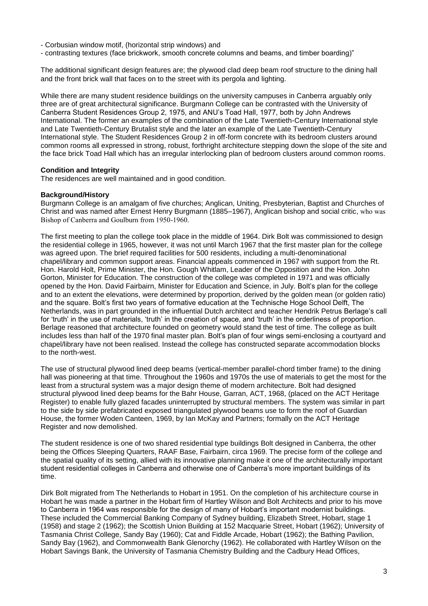- Corbusian window motif, (horizontal strip windows) and

- contrasting textures (face brickwork, smooth concrete columns and beams, and timber boarding)"

The additional significant design features are; the plywood clad deep beam roof structure to the dining hall and the front brick wall that faces on to the street with its pergola and lighting.

While there are many student residence buildings on the university campuses in Canberra arguably only three are of great architectural significance. Burgmann College can be contrasted with the University of Canberra Student Residences Group 2, 1975, and ANU's Toad Hall, 1977, both by John Andrews International. The former an examples of the combination of the Late Twentieth-Century International style and Late Twentieth-Century Brutalist style and the later an example of the Late Twentieth-Century International style. The Student Residences Group 2 in off-form concrete with its bedroom clusters around common rooms all expressed in strong, robust, forthright architecture stepping down the slope of the site and the face brick Toad Hall which has an irregular interlocking plan of bedroom clusters around common rooms.

### **Condition and Integrity**

The residences are well maintained and in good condition.

### **Background/History**

Burgmann College is an amalgam of five churches; Anglican, Uniting, Presbyterian, Baptist and Churches of Christ and was named after Ernest Henry Burgmann (1885–1967), Anglican bishop and social critic, who was Bishop of Canberra and Goulburn from 1950-1960.

The first meeting to plan the college took place in the middle of 1964. Dirk Bolt was commissioned to design the residential college in 1965, however, it was not until March 1967 that the first master plan for the college was agreed upon. The brief required facilities for 500 residents, including a multi-denominational chapel/library and common support areas. Financial appeals commenced in 1967 with support from the Rt. Hon. Harold Holt, Prime Minister, the Hon. Gough Whitlam, Leader of the Opposition and the Hon. John Gorton, Minister for Education. The construction of the college was completed in 1971 and was officially opened by the Hon. David Fairbairn, Minister for Education and Science, in July. Bolt's plan for the college and to an extent the elevations, were determined by proportion, derived by the golden mean (or golden ratio) and the square. Bolt's first two years of formative education at the Technische Hoge School Delft, The Netherlands, was in part grounded in the influential Dutch architect and teacher Hendrik Petrus Berlage's call for 'truth' in the use of materials, 'truth' in the creation of space, and 'truth' in the orderliness of proportion. Berlage reasoned that architecture founded on geometry would stand the test of time. The college as built includes less than half of the 1970 final master plan. Bolt's plan of four wings semi-enclosing a courtyard and chapel/library have not been realised. Instead the college has constructed separate accommodation blocks to the north-west.

The use of structural plywood lined deep beams (vertical-member parallel-chord timber frame) to the dining hall was pioneering at that time. Throughout the 1960s and 1970s the use of materials to get the most for the least from a structural system was a major design theme of modern architecture. Bolt had designed structural plywood lined deep beams for the Bahr House, Garran, ACT, 1968, (placed on the ACT Heritage Register) to enable fully glazed facades uninterrupted by structural members. The system was similar in part to the side by side prefabricated exposed triangulated plywood beams use to form the roof of Guardian House, the former Woden Canteen, 1969, by Ian McKay and Partners; formally on the ACT Heritage Register and now demolished.

The student residence is one of two shared residential type buildings Bolt designed in Canberra, the other being the Offices Sleeping Quarters, RAAF Base, Fairbairn, circa 1969. The precise form of the college and the spatial quality of its setting, allied with its innovative planning make it one of the architecturally important student residential colleges in Canberra and otherwise one of Canberra's more important buildings of its time.

Dirk Bolt migrated from The Netherlands to Hobart in 1951. On the completion of his architecture course in Hobart he was made a partner in the Hobart firm of Hartley Wilson and Bolt Architects and prior to his move to Canberra in 1964 was responsible for the design of many of Hobart's important modernist buildings. These included the Commercial Banking Company of Sydney building, Elizabeth Street, Hobart, stage 1 (1958) and stage 2 (1962); the Scottish Union Building at 152 Macquarie Street, Hobart (1962); University of Tasmania Christ College, Sandy Bay (1960); Cat and Fiddle Arcade, Hobart (1962); the Bathing Pavilion, Sandy Bay (1962), and Commonwealth Bank Glenorchy (1962). He collaborated with Hartley Wilson on the Hobart Savings Bank, the University of Tasmania Chemistry Building and the Cadbury Head Offices,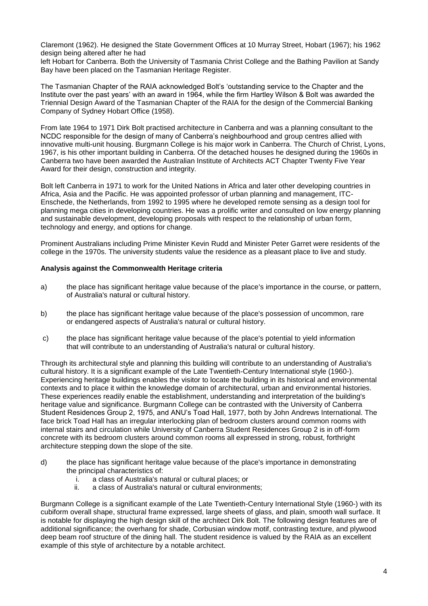Claremont (1962). He designed the State Government Offices at 10 Murray Street, Hobart (1967); his 1962 design being altered after he had

left Hobart for Canberra. Both the University of Tasmania Christ College and the Bathing Pavilion at Sandy Bay have been placed on the Tasmanian Heritage Register.

The Tasmanian Chapter of the RAIA acknowledged Bolt's 'outstanding service to the Chapter and the Institute over the past years' with an award in 1964, while the firm Hartley Wilson & Bolt was awarded the Triennial Design Award of the Tasmanian Chapter of the RAIA for the design of the Commercial Banking Company of Sydney Hobart Office (1958).

From late 1964 to 1971 Dirk Bolt practised architecture in Canberra and was a planning consultant to the NCDC responsible for the design of many of Canberra's neighbourhood and group centres allied with innovative multi-unit housing. Burgmann College is his major work in Canberra. The Church of Christ, Lyons, 1967, is his other important building in Canberra. Of the detached houses he designed during the 1960s in Canberra two have been awarded the Australian Institute of Architects ACT Chapter Twenty Five Year Award for their design, construction and integrity.

Bolt left Canberra in 1971 to work for the United Nations in Africa and later other developing countries in Africa, Asia and the Pacific. He was appointed professor of urban planning and management, ITC-Enschede, the Netherlands, from 1992 to 1995 where he developed remote sensing as a design tool for planning mega cities in developing countries. He was a prolific writer and consulted on low energy planning and sustainable development, developing proposals with respect to the relationship of urban form, technology and energy, and options for change.

Prominent Australians including Prime Minister Kevin Rudd and Minister Peter Garret were residents of the college in the 1970s. The university students value the residence as a pleasant place to live and study.

### **Analysis against the Commonwealth Heritage criteria**

- a) the place has significant heritage value because of the place's importance in the course, or pattern, of Australia's natural or cultural history.
- b) the place has significant heritage value because of the place's possession of uncommon, rare or endangered aspects of Australia's natural or cultural history.
- c) the place has significant heritage value because of the place's potential to yield information that will contribute to an understanding of Australia's natural or cultural history.

Through its architectural style and planning this building will contribute to an understanding of Australia's cultural history. It is a significant example of the Late Twentieth-Century International style (1960-). Experiencing heritage buildings enables the visitor to locate the building in its historical and environmental contexts and to place it within the knowledge domain of architectural, urban and environmental histories. These experiences readily enable the establishment, understanding and interpretation of the building's heritage value and significance. Burgmann College can be contrasted with the University of Canberra Student Residences Group 2, 1975, and ANU's Toad Hall, 1977, both by John Andrews International. The face brick Toad Hall has an irregular interlocking plan of bedroom clusters around common rooms with internal stairs and circulation while University of Canberra Student Residences Group 2 is in off-form concrete with its bedroom clusters around common rooms all expressed in strong, robust, forthright architecture stepping down the slope of the site.

- d) the place has significant heritage value because of the place's importance in demonstrating the principal characteristics of:
	- i. a class of Australia's natural or cultural places; or
	- a class of Australia's natural or cultural environments;

Burgmann College is a significant example of the Late Twentieth-Century International Style (1960-) with its cubiform overall shape, structural frame expressed, large sheets of glass, and plain, smooth wall surface. It is notable for displaying the high design skill of the architect Dirk Bolt. The following design features are of additional significance; the overhang for shade, Corbusian window motif, contrasting texture, and plywood deep beam roof structure of the dining hall. The student residence is valued by the RAIA as an excellent example of this style of architecture by a notable architect.